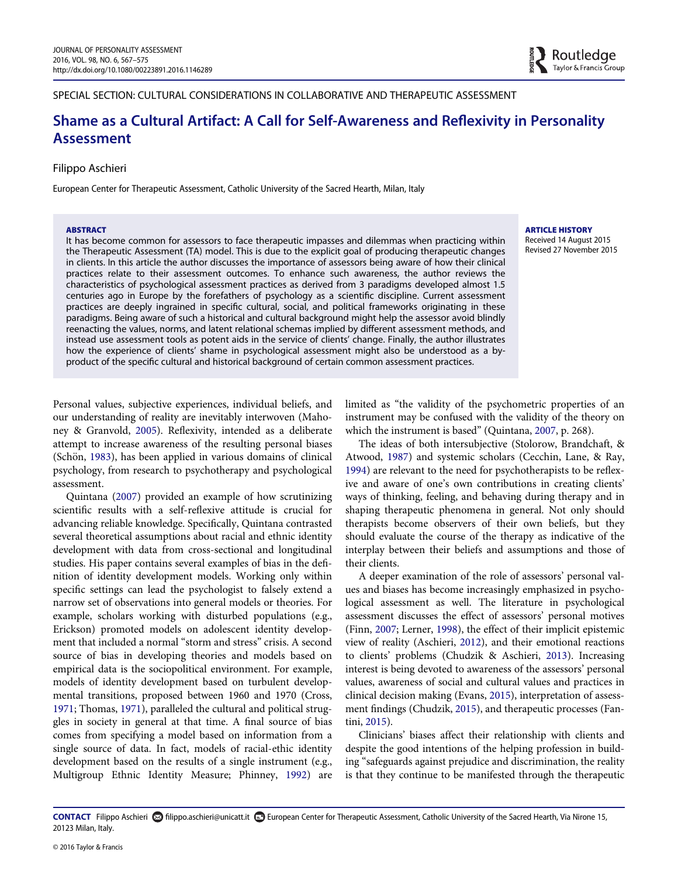SPECIAL SECTION: CULTURAL CONSIDERATIONS IN COLLABORATIVE AND THERAPEUTIC ASSESSMENT

# Shame as a Cultural Artifact: A Call for Self-Awareness and Reflexivity in Personality Assessment

## Filippo Aschieri

European Center for Therapeutic Assessment, Catholic University of the Sacred Hearth, Milan, Italy

#### **ARSTRACT**

It has become common for assessors to face therapeutic impasses and dilemmas when practicing within the Therapeutic Assessment (TA) model. This is due to the explicit goal of producing therapeutic changes in clients. In this article the author discusses the importance of assessors being aware of how their clinical practices relate to their assessment outcomes. To enhance such awareness, the author reviews the characteristics of psychological assessment practices as derived from 3 paradigms developed almost 1.5 centuries ago in Europe by the forefathers of psychology as a scientific discipline. Current assessment practices are deeply ingrained in specific cultural, social, and political frameworks originating in these paradigms. Being aware of such a historical and cultural background might help the assessor avoid blindly reenacting the values, norms, and latent relational schemas implied by different assessment methods, and instead use assessment tools as potent aids in the service of clients' change. Finally, the author illustrates how the experience of clients' shame in psychological assessment might also be understood as a byproduct of the specific cultural and historical background of certain common assessment practices.

Personal values, subjective experiences, individual beliefs, and our understanding of reality are inevitably interwoven (Mahoney & Granvold, [2005\)](#page-7-0). Reflexivity, intended as a deliberate attempt to increase awareness of the resulting personal biases (Schön, [1983](#page-8-0)), has been applied in various domains of clinical psychology, from research to psychotherapy and psychological assessment.

Quintana ([2007\)](#page-8-1) provided an example of how scrutinizing scientific results with a self-reflexive attitude is crucial for advancing reliable knowledge. Specifically, Quintana contrasted several theoretical assumptions about racial and ethnic identity development with data from cross-sectional and longitudinal studies. His paper contains several examples of bias in the definition of identity development models. Working only within specific settings can lead the psychologist to falsely extend a narrow set of observations into general models or theories. For example, scholars working with disturbed populations (e.g., Erickson) promoted models on adolescent identity development that included a normal "storm and stress" crisis. A second source of bias in developing theories and models based on empirical data is the sociopolitical environment. For example, models of identity development based on turbulent developmental transitions, proposed between 1960 and 1970 (Cross, [1971;](#page-7-1) Thomas, [1971\)](#page-8-2), paralleled the cultural and political struggles in society in general at that time. A final source of bias comes from specifying a model based on information from a single source of data. In fact, models of racial-ethic identity development based on the results of a single instrument (e.g., Multigroup Ethnic Identity Measure; Phinney, [1992](#page-8-3)) are

limited as "the validity of the psychometric properties of an instrument may be confused with the validity of the theory on which the instrument is based" (Quintana, [2007](#page-8-3), p. 268).

The ideas of both intersubjective (Stolorow, Brandchaft, & Atwood, [1987\)](#page-8-4) and systemic scholars (Cecchin, Lane, & Ray, [1994](#page-7-2)) are relevant to the need for psychotherapists to be reflexive and aware of one's own contributions in creating clients' ways of thinking, feeling, and behaving during therapy and in shaping therapeutic phenomena in general. Not only should therapists become observers of their own beliefs, but they should evaluate the course of the therapy as indicative of the interplay between their beliefs and assumptions and those of their clients.

A deeper examination of the role of assessors' personal values and biases has become increasingly emphasized in psychological assessment as well. The literature in psychological assessment discusses the effect of assessors' personal motives (Finn, [2007](#page-7-3); Lerner, [1998](#page-7-4)), the effect of their implicit epistemic view of reality (Aschieri, [2012\)](#page-7-5), and their emotional reactions to clients' problems (Chudzik & Aschieri, [2013](#page-7-6)). Increasing interest is being devoted to awareness of the assessors' personal values, awareness of social and cultural values and practices in clinical decision making (Evans, [2015](#page-7-7)), interpretation of assessment findings (Chudzik, [2015](#page-7-8)), and therapeutic processes (Fantini, [2015](#page-7-9)).

Clinicians' biases affect their relationship with clients and despite the good intentions of the helping profession in building "safeguards against prejudice and discrimination, the reality is that they continue to be manifested through the therapeutic

ARTICLE HISTORY Received 14 August 2015 Revised 27 November 2015

CONTACT Filippo Aschieri **continents and incontactual European** Center for Therapeutic Assessment, Catholic University of the Sacred Hearth, Via Nirone 15, 20123 Milan, Italy.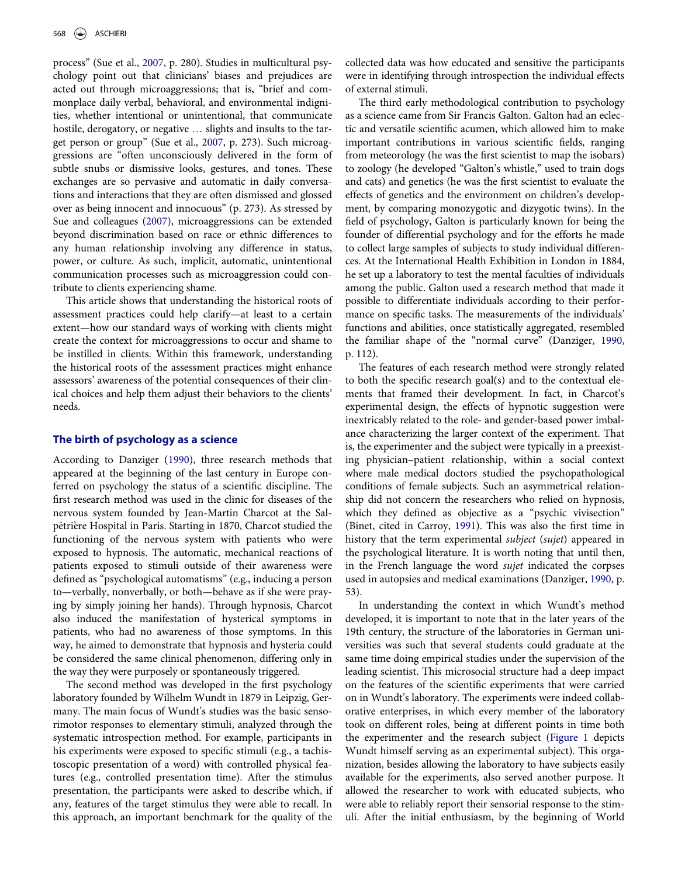process" (Sue et al., [2007,](#page-8-5) p. 280). Studies in multicultural psychology point out that clinicians' biases and prejudices are acted out through microaggressions; that is, "brief and commonplace daily verbal, behavioral, and environmental indignities, whether intentional or unintentional, that communicate hostile, derogatory, or negative … slights and insults to the target person or group" (Sue et al., [2007,](#page-8-5) p. 273). Such microaggressions are "often unconsciously delivered in the form of subtle snubs or dismissive looks, gestures, and tones. These exchanges are so pervasive and automatic in daily conversations and interactions that they are often dismissed and glossed over as being innocent and innocuous" (p. 273). As stressed by Sue and colleagues [\(2007](#page-8-5)), microaggressions can be extended beyond discrimination based on race or ethnic differences to any human relationship involving any difference in status, power, or culture. As such, implicit, automatic, unintentional communication processes such as microaggression could contribute to clients experiencing shame.

This article shows that understanding the historical roots of assessment practices could help clarify—at least to a certain extent—how our standard ways of working with clients might create the context for microaggressions to occur and shame to be instilled in clients. Within this framework, understanding the historical roots of the assessment practices might enhance assessors' awareness of the potential consequences of their clinical choices and help them adjust their behaviors to the clients' needs.

## The birth of psychology as a science

According to Danziger ([1990](#page-7-10)), three research methods that appeared at the beginning of the last century in Europe conferred on psychology the status of a scientific discipline. The first research method was used in the clinic for diseases of the nervous system founded by Jean-Martin Charcot at the Salpêtrière Hospital in Paris. Starting in 1870, Charcot studied the functioning of the nervous system with patients who were exposed to hypnosis. The automatic, mechanical reactions of patients exposed to stimuli outside of their awareness were defined as "psychological automatisms" (e.g., inducing a person to—verbally, nonverbally, or both—behave as if she were praying by simply joining her hands). Through hypnosis, Charcot also induced the manifestation of hysterical symptoms in patients, who had no awareness of those symptoms. In this way, he aimed to demonstrate that hypnosis and hysteria could be considered the same clinical phenomenon, differing only in the way they were purposely or spontaneously triggered.

The second method was developed in the first psychology laboratory founded by Wilhelm Wundt in 1879 in Leipzig, Germany. The main focus of Wundt's studies was the basic sensorimotor responses to elementary stimuli, analyzed through the systematic introspection method. For example, participants in his experiments were exposed to specific stimuli (e.g., a tachistoscopic presentation of a word) with controlled physical features (e.g., controlled presentation time). After the stimulus presentation, the participants were asked to describe which, if any, features of the target stimulus they were able to recall. In this approach, an important benchmark for the quality of the

collected data was how educated and sensitive the participants were in identifying through introspection the individual effects of external stimuli.

The third early methodological contribution to psychology as a science came from Sir Francis Galton. Galton had an eclectic and versatile scientific acumen, which allowed him to make important contributions in various scientific fields, ranging from meteorology (he was the first scientist to map the isobars) to zoology (he developed "Galton's whistle," used to train dogs and cats) and genetics (he was the first scientist to evaluate the effects of genetics and the environment on children's development, by comparing monozygotic and dizygotic twins). In the field of psychology, Galton is particularly known for being the founder of differential psychology and for the efforts he made to collect large samples of subjects to study individual differences. At the International Health Exhibition in London in 1884, he set up a laboratory to test the mental faculties of individuals among the public. Galton used a research method that made it possible to differentiate individuals according to their performance on specific tasks. The measurements of the individuals' functions and abilities, once statistically aggregated, resembled the familiar shape of the "normal curve" (Danziger, [1990,](#page-7-10) p. 112).

The features of each research method were strongly related to both the specific research goal(s) and to the contextual elements that framed their development. In fact, in Charcot's experimental design, the effects of hypnotic suggestion were inextricably related to the role- and gender-based power imbalance characterizing the larger context of the experiment. That is, the experimenter and the subject were typically in a preexisting physician–patient relationship, within a social context where male medical doctors studied the psychopathological conditions of female subjects. Such an asymmetrical relationship did not concern the researchers who relied on hypnosis, which they defined as objective as a "psychic vivisection" (Binet, cited in Carroy, [1991](#page-7-11)). This was also the first time in history that the term experimental *subject* (*sujet*) appeared in the psychological literature. It is worth noting that until then, in the French language the word sujet indicated the corpses used in autopsies and medical examinations (Danziger, [1990](#page-7-10), p. 53).

In understanding the context in which Wundt's method developed, it is important to note that in the later years of the 19th century, the structure of the laboratories in German universities was such that several students could graduate at the same time doing empirical studies under the supervision of the leading scientist. This microsocial structure had a deep impact on the features of the scientific experiments that were carried on in Wundt's laboratory. The experiments were indeed collaborative enterprises, in which every member of the laboratory took on different roles, being at different points in time both the experimenter and the research subject ([Figure 1](#page-2-0) depicts Wundt himself serving as an experimental subject). This organization, besides allowing the laboratory to have subjects easily available for the experiments, also served another purpose. It allowed the researcher to work with educated subjects, who were able to reliably report their sensorial response to the stimuli. After the initial enthusiasm, by the beginning of World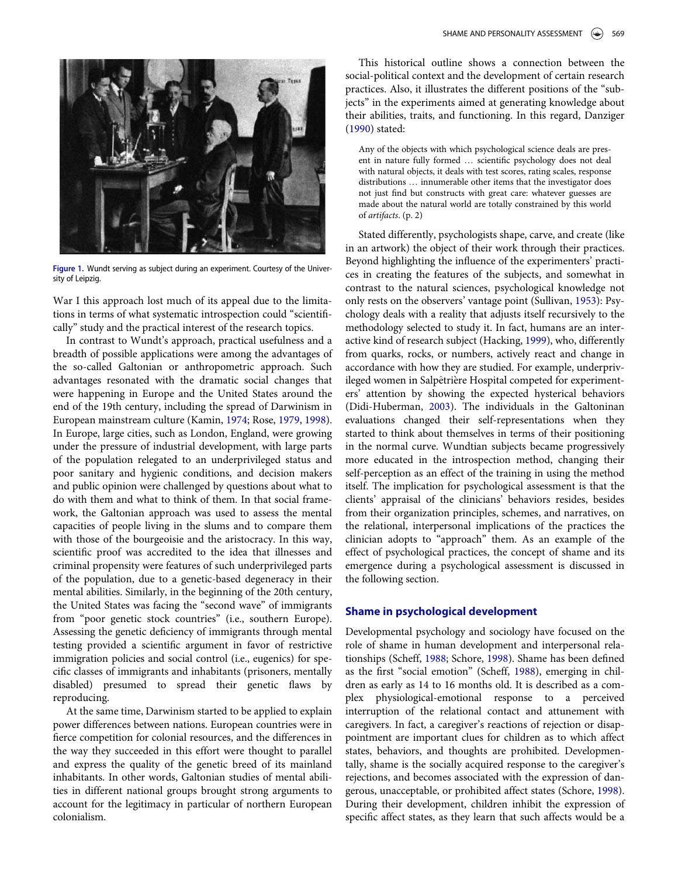<span id="page-2-0"></span>

Figure 1. Wundt serving as subject during an experiment. Courtesy of the University of Leipzig.

War I this approach lost much of its appeal due to the limitations in terms of what systematic introspection could "scientifically" study and the practical interest of the research topics.

In contrast to Wundt's approach, practical usefulness and a breadth of possible applications were among the advantages of the so-called Galtonian or anthropometric approach. Such advantages resonated with the dramatic social changes that were happening in Europe and the United States around the end of the 19th century, including the spread of Darwinism in European mainstream culture (Kamin, [1974](#page-7-12); Rose, [1979,](#page-8-6) [1998](#page-8-7)). In Europe, large cities, such as London, England, were growing under the pressure of industrial development, with large parts of the population relegated to an underprivileged status and poor sanitary and hygienic conditions, and decision makers and public opinion were challenged by questions about what to do with them and what to think of them. In that social framework, the Galtonian approach was used to assess the mental capacities of people living in the slums and to compare them with those of the bourgeoisie and the aristocracy. In this way, scientific proof was accredited to the idea that illnesses and criminal propensity were features of such underprivileged parts of the population, due to a genetic-based degeneracy in their mental abilities. Similarly, in the beginning of the 20th century, the United States was facing the "second wave" of immigrants from "poor genetic stock countries" (i.e., southern Europe). Assessing the genetic deficiency of immigrants through mental testing provided a scientific argument in favor of restrictive immigration policies and social control (i.e., eugenics) for specific classes of immigrants and inhabitants (prisoners, mentally disabled) presumed to spread their genetic flaws by reproducing.

At the same time, Darwinism started to be applied to explain power differences between nations. European countries were in fierce competition for colonial resources, and the differences in the way they succeeded in this effort were thought to parallel and express the quality of the genetic breed of its mainland inhabitants. In other words, Galtonian studies of mental abilities in different national groups brought strong arguments to account for the legitimacy in particular of northern European colonialism.

This historical outline shows a connection between the social-political context and the development of certain research practices. Also, it illustrates the different positions of the "subjects" in the experiments aimed at generating knowledge about their abilities, traits, and functioning. In this regard, Danziger [\(1990\)](#page-7-10) stated:

Any of the objects with which psychological science deals are present in nature fully formed … scientific psychology does not deal with natural objects, it deals with test scores, rating scales, response distributions … innumerable other items that the investigator does not just find but constructs with great care: whatever guesses are made about the natural world are totally constrained by this world of artifacts. (p. 2)

Stated differently, psychologists shape, carve, and create (like in an artwork) the object of their work through their practices. Beyond highlighting the influence of the experimenters' practices in creating the features of the subjects, and somewhat in contrast to the natural sciences, psychological knowledge not only rests on the observers' vantage point (Sullivan, [1953\)](#page-8-8): Psychology deals with a reality that adjusts itself recursively to the methodology selected to study it. In fact, humans are an interactive kind of research subject (Hacking, [1999\)](#page-7-13), who, differently from quarks, rocks, or numbers, actively react and change in accordance with how they are studied. For example, underprivileged women in Salpêtrière Hospital competed for experimenters' attention by showing the expected hysterical behaviors (Didi-Huberman, [2003\)](#page-7-14). The individuals in the Galtoninan evaluations changed their self-representations when they started to think about themselves in terms of their positioning in the normal curve. Wundtian subjects became progressively more educated in the introspection method, changing their self-perception as an effect of the training in using the method itself. The implication for psychological assessment is that the clients' appraisal of the clinicians' behaviors resides, besides from their organization principles, schemes, and narratives, on the relational, interpersonal implications of the practices the clinician adopts to "approach" them. As an example of the effect of psychological practices, the concept of shame and its emergence during a psychological assessment is discussed in the following section.

#### Shame in psychological development

Developmental psychology and sociology have focused on the role of shame in human development and interpersonal relationships (Scheff, [1988;](#page-8-9) Schore, [1998](#page-8-10)). Shame has been defined as the first "social emotion" (Scheff, [1988\)](#page-8-9), emerging in children as early as 14 to 16 months old. It is described as a complex physiological-emotional response to a perceived interruption of the relational contact and attunement with caregivers. In fact, a caregiver's reactions of rejection or disappointment are important clues for children as to which affect states, behaviors, and thoughts are prohibited. Developmentally, shame is the socially acquired response to the caregiver's rejections, and becomes associated with the expression of dangerous, unacceptable, or prohibited affect states (Schore, [1998\)](#page-8-10). During their development, children inhibit the expression of specific affect states, as they learn that such affects would be a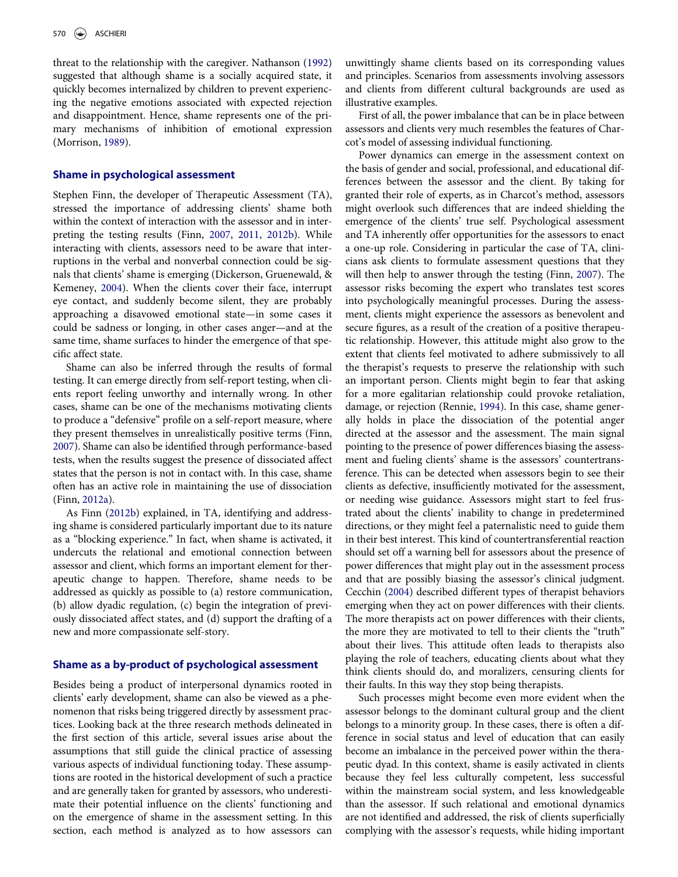threat to the relationship with the caregiver. Nathanson [\(1992\)](#page-7-15) suggested that although shame is a socially acquired state, it quickly becomes internalized by children to prevent experiencing the negative emotions associated with expected rejection and disappointment. Hence, shame represents one of the primary mechanisms of inhibition of emotional expression (Morrison, [1989\)](#page-7-16).

#### Shame in psychological assessment

Stephen Finn, the developer of Therapeutic Assessment (TA), stressed the importance of addressing clients' shame both within the context of interaction with the assessor and in interpreting the testing results (Finn, [2007](#page-7-3), [2011](#page-7-17), [2012b](#page-7-18)). While interacting with clients, assessors need to be aware that interruptions in the verbal and nonverbal connection could be signals that clients' shame is emerging (Dickerson, Gruenewald, & Kemeney, [2004](#page-7-19)). When the clients cover their face, interrupt eye contact, and suddenly become silent, they are probably approaching a disavowed emotional state—in some cases it could be sadness or longing, in other cases anger—and at the same time, shame surfaces to hinder the emergence of that specific affect state.

Shame can also be inferred through the results of formal testing. It can emerge directly from self-report testing, when clients report feeling unworthy and internally wrong. In other cases, shame can be one of the mechanisms motivating clients to produce a "defensive" profile on a self-report measure, where they present themselves in unrealistically positive terms (Finn, [2007\)](#page-7-3). Shame can also be identified through performance-based tests, when the results suggest the presence of dissociated affect states that the person is not in contact with. In this case, shame often has an active role in maintaining the use of dissociation (Finn, [2012a\)](#page-7-20).

As Finn ([2012b\)](#page-7-18) explained, in TA, identifying and addressing shame is considered particularly important due to its nature as a "blocking experience." In fact, when shame is activated, it undercuts the relational and emotional connection between assessor and client, which forms an important element for therapeutic change to happen. Therefore, shame needs to be addressed as quickly as possible to (a) restore communication, (b) allow dyadic regulation, (c) begin the integration of previously dissociated affect states, and (d) support the drafting of a new and more compassionate self-story.

## Shame as a by-product of psychological assessment

Besides being a product of interpersonal dynamics rooted in clients' early development, shame can also be viewed as a phenomenon that risks being triggered directly by assessment practices. Looking back at the three research methods delineated in the first section of this article, several issues arise about the assumptions that still guide the clinical practice of assessing various aspects of individual functioning today. These assumptions are rooted in the historical development of such a practice and are generally taken for granted by assessors, who underestimate their potential influence on the clients' functioning and on the emergence of shame in the assessment setting. In this section, each method is analyzed as to how assessors can

unwittingly shame clients based on its corresponding values and principles. Scenarios from assessments involving assessors and clients from different cultural backgrounds are used as illustrative examples.

First of all, the power imbalance that can be in place between assessors and clients very much resembles the features of Charcot's model of assessing individual functioning.

Power dynamics can emerge in the assessment context on the basis of gender and social, professional, and educational differences between the assessor and the client. By taking for granted their role of experts, as in Charcot's method, assessors might overlook such differences that are indeed shielding the emergence of the clients' true self. Psychological assessment and TA inherently offer opportunities for the assessors to enact a one-up role. Considering in particular the case of TA, clinicians ask clients to formulate assessment questions that they will then help to answer through the testing (Finn, [2007\)](#page-7-3). The assessor risks becoming the expert who translates test scores into psychologically meaningful processes. During the assessment, clients might experience the assessors as benevolent and secure figures, as a result of the creation of a positive therapeutic relationship. However, this attitude might also grow to the extent that clients feel motivated to adhere submissively to all the therapist's requests to preserve the relationship with such an important person. Clients might begin to fear that asking for a more egalitarian relationship could provoke retaliation, damage, or rejection (Rennie, [1994\)](#page-8-11). In this case, shame generally holds in place the dissociation of the potential anger directed at the assessor and the assessment. The main signal pointing to the presence of power differences biasing the assessment and fueling clients' shame is the assessors' countertransference. This can be detected when assessors begin to see their clients as defective, insufficiently motivated for the assessment, or needing wise guidance. Assessors might start to feel frustrated about the clients' inability to change in predetermined directions, or they might feel a paternalistic need to guide them in their best interest. This kind of countertransferential reaction should set off a warning bell for assessors about the presence of power differences that might play out in the assessment process and that are possibly biasing the assessor's clinical judgment. Cecchin ([2004\)](#page-7-21) described different types of therapist behaviors emerging when they act on power differences with their clients. The more therapists act on power differences with their clients, the more they are motivated to tell to their clients the "truth" about their lives. This attitude often leads to therapists also playing the role of teachers, educating clients about what they think clients should do, and moralizers, censuring clients for their faults. In this way they stop being therapists.

Such processes might become even more evident when the assessor belongs to the dominant cultural group and the client belongs to a minority group. In these cases, there is often a difference in social status and level of education that can easily become an imbalance in the perceived power within the therapeutic dyad. In this context, shame is easily activated in clients because they feel less culturally competent, less successful within the mainstream social system, and less knowledgeable than the assessor. If such relational and emotional dynamics are not identified and addressed, the risk of clients superficially complying with the assessor's requests, while hiding important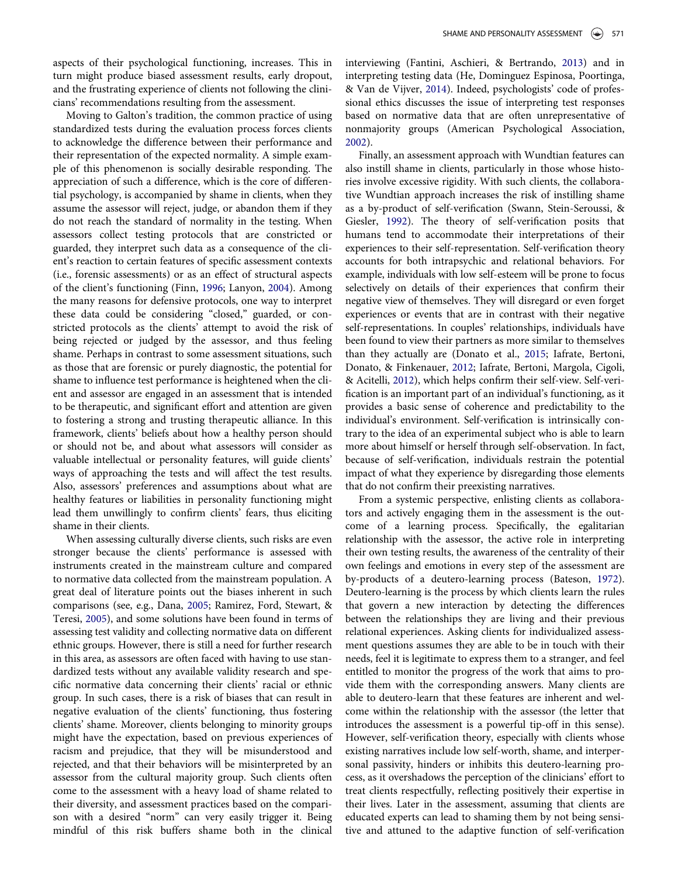aspects of their psychological functioning, increases. This in turn might produce biased assessment results, early dropout, and the frustrating experience of clients not following the clinicians' recommendations resulting from the assessment.

Moving to Galton's tradition, the common practice of using standardized tests during the evaluation process forces clients to acknowledge the difference between their performance and their representation of the expected normality. A simple example of this phenomenon is socially desirable responding. The appreciation of such a difference, which is the core of differential psychology, is accompanied by shame in clients, when they assume the assessor will reject, judge, or abandon them if they do not reach the standard of normality in the testing. When assessors collect testing protocols that are constricted or guarded, they interpret such data as a consequence of the client's reaction to certain features of specific assessment contexts (i.e., forensic assessments) or as an effect of structural aspects of the client's functioning (Finn, [1996](#page-7-22); Lanyon, [2004](#page-7-23)). Among the many reasons for defensive protocols, one way to interpret these data could be considering "closed," guarded, or constricted protocols as the clients' attempt to avoid the risk of being rejected or judged by the assessor, and thus feeling shame. Perhaps in contrast to some assessment situations, such as those that are forensic or purely diagnostic, the potential for shame to influence test performance is heightened when the client and assessor are engaged in an assessment that is intended to be therapeutic, and significant effort and attention are given to fostering a strong and trusting therapeutic alliance. In this framework, clients' beliefs about how a healthy person should or should not be, and about what assessors will consider as valuable intellectual or personality features, will guide clients' ways of approaching the tests and will affect the test results. Also, assessors' preferences and assumptions about what are healthy features or liabilities in personality functioning might lead them unwillingly to confirm clients' fears, thus eliciting shame in their clients.

When assessing culturally diverse clients, such risks are even stronger because the clients' performance is assessed with instruments created in the mainstream culture and compared to normative data collected from the mainstream population. A great deal of literature points out the biases inherent in such comparisons (see, e.g., Dana, [2005](#page-7-24); Ramirez, Ford, Stewart, & Teresi, [2005](#page-8-12)), and some solutions have been found in terms of assessing test validity and collecting normative data on different ethnic groups. However, there is still a need for further research in this area, as assessors are often faced with having to use standardized tests without any available validity research and specific normative data concerning their clients' racial or ethnic group. In such cases, there is a risk of biases that can result in negative evaluation of the clients' functioning, thus fostering clients' shame. Moreover, clients belonging to minority groups might have the expectation, based on previous experiences of racism and prejudice, that they will be misunderstood and rejected, and that their behaviors will be misinterpreted by an assessor from the cultural majority group. Such clients often come to the assessment with a heavy load of shame related to their diversity, and assessment practices based on the comparison with a desired "norm" can very easily trigger it. Being mindful of this risk buffers shame both in the clinical

interviewing (Fantini, Aschieri, & Bertrando, [2013\)](#page-7-25) and in interpreting testing data (He, Dominguez Espinosa, Poortinga, & Van de Vijver, [2014\)](#page-7-26). Indeed, psychologists' code of professional ethics discusses the issue of interpreting test responses based on normative data that are often unrepresentative of nonmajority groups (American Psychological Association, [2002](#page-7-27)).

Finally, an assessment approach with Wundtian features can also instill shame in clients, particularly in those whose histories involve excessive rigidity. With such clients, the collaborative Wundtian approach increases the risk of instilling shame as a by-product of self-verification (Swann, Stein-Seroussi, & Giesler, [1992\)](#page-8-13). The theory of self-verification posits that humans tend to accommodate their interpretations of their experiences to their self-representation. Self-verification theory accounts for both intrapsychic and relational behaviors. For example, individuals with low self-esteem will be prone to focus selectively on details of their experiences that confirm their negative view of themselves. They will disregard or even forget experiences or events that are in contrast with their negative self-representations. In couples' relationships, individuals have been found to view their partners as more similar to themselves than they actually are (Donato et al., [2015](#page-7-28); Iafrate, Bertoni, Donato, & Finkenauer, [2012;](#page-7-29) Iafrate, Bertoni, Margola, Cigoli, & Acitelli, [2012](#page-7-30)), which helps confirm their self-view. Self-verification is an important part of an individual's functioning, as it provides a basic sense of coherence and predictability to the individual's environment. Self-verification is intrinsically contrary to the idea of an experimental subject who is able to learn more about himself or herself through self-observation. In fact, because of self-verification, individuals restrain the potential impact of what they experience by disregarding those elements that do not confirm their preexisting narratives.

From a systemic perspective, enlisting clients as collaborators and actively engaging them in the assessment is the outcome of a learning process. Specifically, the egalitarian relationship with the assessor, the active role in interpreting their own testing results, the awareness of the centrality of their own feelings and emotions in every step of the assessment are by-products of a deutero-learning process (Bateson, [1972\)](#page-7-31). Deutero-learning is the process by which clients learn the rules that govern a new interaction by detecting the differences between the relationships they are living and their previous relational experiences. Asking clients for individualized assessment questions assumes they are able to be in touch with their needs, feel it is legitimate to express them to a stranger, and feel entitled to monitor the progress of the work that aims to provide them with the corresponding answers. Many clients are able to deutero-learn that these features are inherent and welcome within the relationship with the assessor (the letter that introduces the assessment is a powerful tip-off in this sense). However, self-verification theory, especially with clients whose existing narratives include low self-worth, shame, and interpersonal passivity, hinders or inhibits this deutero-learning process, as it overshadows the perception of the clinicians' effort to treat clients respectfully, reflecting positively their expertise in their lives. Later in the assessment, assuming that clients are educated experts can lead to shaming them by not being sensitive and attuned to the adaptive function of self-verification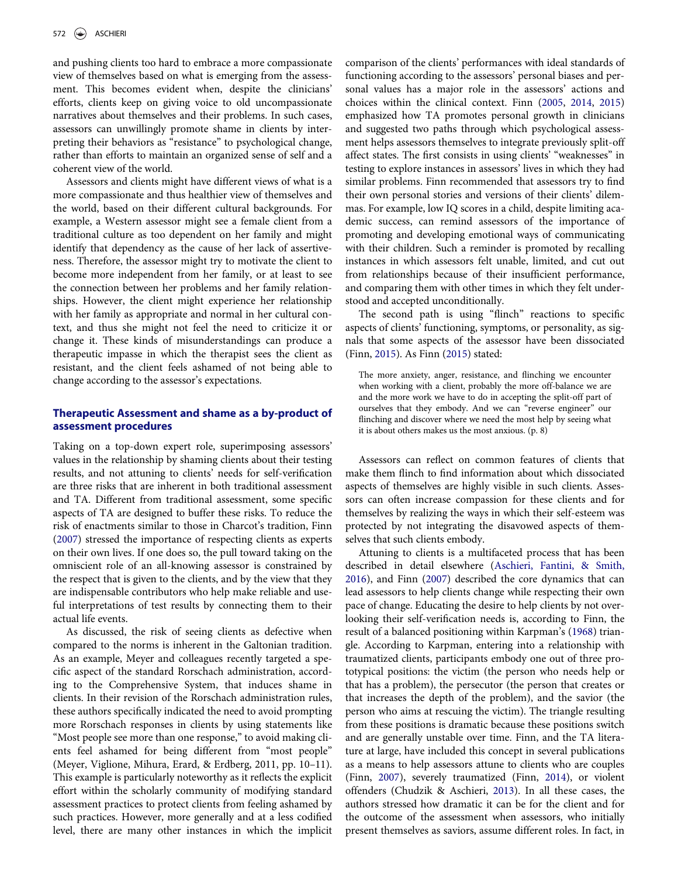and pushing clients too hard to embrace a more compassionate view of themselves based on what is emerging from the assessment. This becomes evident when, despite the clinicians' efforts, clients keep on giving voice to old uncompassionate narratives about themselves and their problems. In such cases, assessors can unwillingly promote shame in clients by interpreting their behaviors as "resistance" to psychological change, rather than efforts to maintain an organized sense of self and a coherent view of the world.

Assessors and clients might have different views of what is a more compassionate and thus healthier view of themselves and the world, based on their different cultural backgrounds. For example, a Western assessor might see a female client from a traditional culture as too dependent on her family and might identify that dependency as the cause of her lack of assertiveness. Therefore, the assessor might try to motivate the client to become more independent from her family, or at least to see the connection between her problems and her family relationships. However, the client might experience her relationship with her family as appropriate and normal in her cultural context, and thus she might not feel the need to criticize it or change it. These kinds of misunderstandings can produce a therapeutic impasse in which the therapist sees the client as resistant, and the client feels ashamed of not being able to change according to the assessor's expectations.

# Therapeutic Assessment and shame as a by-product of assessment procedures

Taking on a top-down expert role, superimposing assessors' values in the relationship by shaming clients about their testing results, and not attuning to clients' needs for self-verification are three risks that are inherent in both traditional assessment and TA. Different from traditional assessment, some specific aspects of TA are designed to buffer these risks. To reduce the risk of enactments similar to those in Charcot's tradition, Finn [\(2007](#page-7-3)) stressed the importance of respecting clients as experts on their own lives. If one does so, the pull toward taking on the omniscient role of an all-knowing assessor is constrained by the respect that is given to the clients, and by the view that they are indispensable contributors who help make reliable and useful interpretations of test results by connecting them to their actual life events.

As discussed, the risk of seeing clients as defective when compared to the norms is inherent in the Galtonian tradition. As an example, Meyer and colleagues recently targeted a specific aspect of the standard Rorschach administration, according to the Comprehensive System, that induces shame in clients. In their revision of the Rorschach administration rules, these authors specifically indicated the need to avoid prompting more Rorschach responses in clients by using statements like "Most people see more than one response," to avoid making clients feel ashamed for being different from "most people" (Meyer, Viglione, Mihura, Erard, & Erdberg, 2011, pp. 10–11). This example is particularly noteworthy as it reflects the explicit effort within the scholarly community of modifying standard assessment practices to protect clients from feeling ashamed by such practices. However, more generally and at a less codified level, there are many other instances in which the implicit

comparison of the clients' performances with ideal standards of functioning according to the assessors' personal biases and personal values has a major role in the assessors' actions and choices within the clinical context. Finn [\(2005,](#page-7-32) [2014,](#page-7-33) [2015\)](#page-7-34) emphasized how TA promotes personal growth in clinicians and suggested two paths through which psychological assessment helps assessors themselves to integrate previously split-off affect states. The first consists in using clients' "weaknesses" in testing to explore instances in assessors' lives in which they had similar problems. Finn recommended that assessors try to find their own personal stories and versions of their clients' dilemmas. For example, low IQ scores in a child, despite limiting academic success, can remind assessors of the importance of promoting and developing emotional ways of communicating with their children. Such a reminder is promoted by recalling instances in which assessors felt unable, limited, and cut out from relationships because of their insufficient performance, and comparing them with other times in which they felt understood and accepted unconditionally.

The second path is using "flinch" reactions to specific aspects of clients' functioning, symptoms, or personality, as signals that some aspects of the assessor have been dissociated (Finn, [2015\)](#page-7-34). As Finn [\(2015](#page-7-34)) stated:

The more anxiety, anger, resistance, and flinching we encounter when working with a client, probably the more off-balance we are and the more work we have to do in accepting the split-off part of ourselves that they embody. And we can "reverse engineer" our flinching and discover where we need the most help by seeing what it is about others makes us the most anxious. (p. 8)

Assessors can reflect on common features of clients that make them flinch to find information about which dissociated aspects of themselves are highly visible in such clients. Assessors can often increase compassion for these clients and for themselves by realizing the ways in which their self-esteem was protected by not integrating the disavowed aspects of themselves that such clients embody.

Attuning to clients is a multifaceted process that has been described in detail elsewhere ([Aschieri, Fantini, & Smith,](#page-7-35) [2016](#page-7-35)), and Finn ([2007\)](#page-7-3) described the core dynamics that can lead assessors to help clients change while respecting their own pace of change. Educating the desire to help clients by not overlooking their self-verification needs is, according to Finn, the result of a balanced positioning within Karpman's ([1968\)](#page-7-36) triangle. According to Karpman, entering into a relationship with traumatized clients, participants embody one out of three prototypical positions: the victim (the person who needs help or that has a problem), the persecutor (the person that creates or that increases the depth of the problem), and the savior (the person who aims at rescuing the victim). The triangle resulting from these positions is dramatic because these positions switch and are generally unstable over time. Finn, and the TA literature at large, have included this concept in several publications as a means to help assessors attune to clients who are couples (Finn, [2007\)](#page-7-3), severely traumatized (Finn, [2014](#page-7-33)), or violent offenders (Chudzik & Aschieri, [2013](#page-7-6)). In all these cases, the authors stressed how dramatic it can be for the client and for the outcome of the assessment when assessors, who initially present themselves as saviors, assume different roles. In fact, in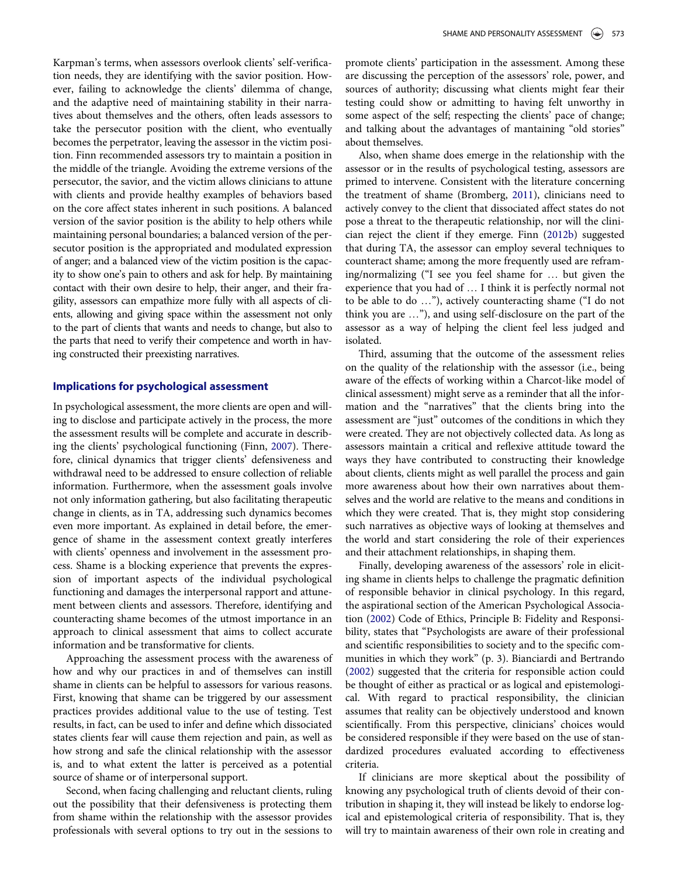Karpman's terms, when assessors overlook clients' self-verification needs, they are identifying with the savior position. However, failing to acknowledge the clients' dilemma of change, and the adaptive need of maintaining stability in their narratives about themselves and the others, often leads assessors to take the persecutor position with the client, who eventually becomes the perpetrator, leaving the assessor in the victim position. Finn recommended assessors try to maintain a position in the middle of the triangle. Avoiding the extreme versions of the persecutor, the savior, and the victim allows clinicians to attune with clients and provide healthy examples of behaviors based on the core affect states inherent in such positions. A balanced version of the savior position is the ability to help others while maintaining personal boundaries; a balanced version of the persecutor position is the appropriated and modulated expression of anger; and a balanced view of the victim position is the capacity to show one's pain to others and ask for help. By maintaining contact with their own desire to help, their anger, and their fragility, assessors can empathize more fully with all aspects of clients, allowing and giving space within the assessment not only to the part of clients that wants and needs to change, but also to the parts that need to verify their competence and worth in having constructed their preexisting narratives.

## Implications for psychological assessment

In psychological assessment, the more clients are open and willing to disclose and participate actively in the process, the more the assessment results will be complete and accurate in describing the clients' psychological functioning (Finn, [2007](#page-7-3)). Therefore, clinical dynamics that trigger clients' defensiveness and withdrawal need to be addressed to ensure collection of reliable information. Furthermore, when the assessment goals involve not only information gathering, but also facilitating therapeutic change in clients, as in TA, addressing such dynamics becomes even more important. As explained in detail before, the emergence of shame in the assessment context greatly interferes with clients' openness and involvement in the assessment process. Shame is a blocking experience that prevents the expression of important aspects of the individual psychological functioning and damages the interpersonal rapport and attunement between clients and assessors. Therefore, identifying and counteracting shame becomes of the utmost importance in an approach to clinical assessment that aims to collect accurate information and be transformative for clients.

Approaching the assessment process with the awareness of how and why our practices in and of themselves can instill shame in clients can be helpful to assessors for various reasons. First, knowing that shame can be triggered by our assessment practices provides additional value to the use of testing. Test results, in fact, can be used to infer and define which dissociated states clients fear will cause them rejection and pain, as well as how strong and safe the clinical relationship with the assessor is, and to what extent the latter is perceived as a potential source of shame or of interpersonal support.

Second, when facing challenging and reluctant clients, ruling out the possibility that their defensiveness is protecting them from shame within the relationship with the assessor provides professionals with several options to try out in the sessions to

promote clients' participation in the assessment. Among these are discussing the perception of the assessors' role, power, and sources of authority; discussing what clients might fear their testing could show or admitting to having felt unworthy in some aspect of the self; respecting the clients' pace of change; and talking about the advantages of mantaining "old stories" about themselves.

Also, when shame does emerge in the relationship with the assessor or in the results of psychological testing, assessors are primed to intervene. Consistent with the literature concerning the treatment of shame (Bromberg, [2011\)](#page-7-37), clinicians need to actively convey to the client that dissociated affect states do not pose a threat to the therapeutic relationship, nor will the clinician reject the client if they emerge. Finn [\(2012b](#page-7-18)) suggested that during TA, the assessor can employ several techniques to counteract shame; among the more frequently used are reframing/normalizing ("I see you feel shame for … but given the experience that you had of … I think it is perfectly normal not to be able to do …"), actively counteracting shame ("I do not think you are …"), and using self-disclosure on the part of the assessor as a way of helping the client feel less judged and isolated.

Third, assuming that the outcome of the assessment relies on the quality of the relationship with the assessor (i.e., being aware of the effects of working within a Charcot-like model of clinical assessment) might serve as a reminder that all the information and the "narratives" that the clients bring into the assessment are "just" outcomes of the conditions in which they were created. They are not objectively collected data. As long as assessors maintain a critical and reflexive attitude toward the ways they have contributed to constructing their knowledge about clients, clients might as well parallel the process and gain more awareness about how their own narratives about themselves and the world are relative to the means and conditions in which they were created. That is, they might stop considering such narratives as objective ways of looking at themselves and the world and start considering the role of their experiences and their attachment relationships, in shaping them.

Finally, developing awareness of the assessors' role in eliciting shame in clients helps to challenge the pragmatic definition of responsible behavior in clinical psychology. In this regard, the aspirational section of the American Psychological Association [\(2002\)](#page-7-27) Code of Ethics, Principle B: Fidelity and Responsibility, states that "Psychologists are aware of their professional and scientific responsibilities to society and to the specific communities in which they work" (p. 3). Bianciardi and Bertrando [\(2002\)](#page-7-38) suggested that the criteria for responsible action could be thought of either as practical or as logical and epistemological. With regard to practical responsibility, the clinician assumes that reality can be objectively understood and known scientifically. From this perspective, clinicians' choices would be considered responsible if they were based on the use of standardized procedures evaluated according to effectiveness criteria.

If clinicians are more skeptical about the possibility of knowing any psychological truth of clients devoid of their contribution in shaping it, they will instead be likely to endorse logical and epistemological criteria of responsibility. That is, they will try to maintain awareness of their own role in creating and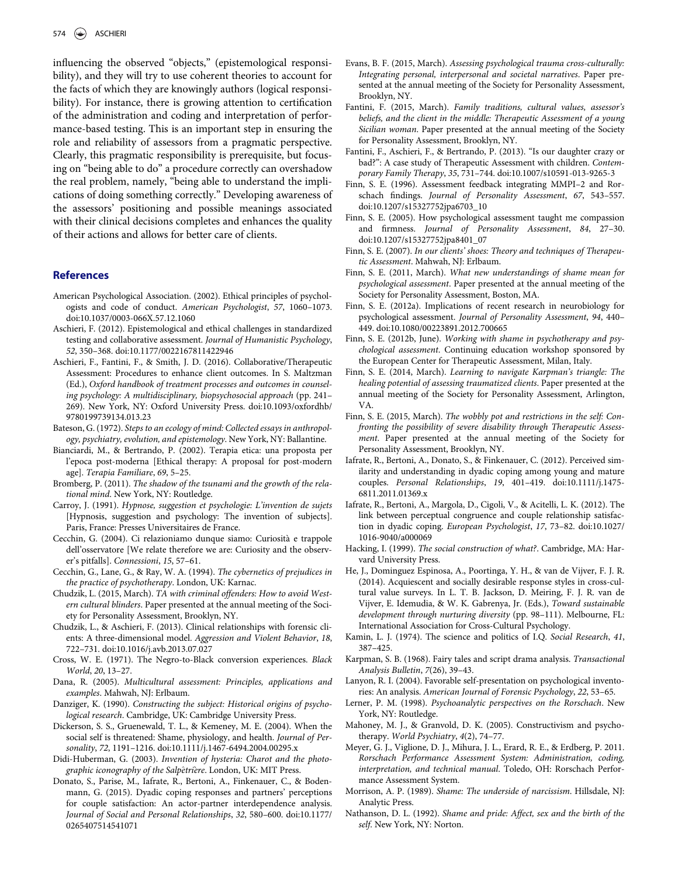<span id="page-7-25"></span><span id="page-7-9"></span><span id="page-7-7"></span>influencing the observed "objects," (epistemological responsibility), and they will try to use coherent theories to account for the facts of which they are knowingly authors (logical responsibility). For instance, there is growing attention to certification of the administration and coding and interpretation of performance-based testing. This is an important step in ensuring the role and reliability of assessors from a pragmatic perspective. Clearly, this pragmatic responsibility is prerequisite, but focusing on "being able to do" a procedure correctly can overshadow the real problem, namely, "being able to understand the implications of doing something correctly." Developing awareness of the assessors' positioning and possible meanings associated with their clinical decisions completes and enhances the quality of their actions and allows for better care of clients.

#### <span id="page-7-32"></span><span id="page-7-22"></span><span id="page-7-17"></span><span id="page-7-3"></span>References

- <span id="page-7-27"></span><span id="page-7-20"></span>American Psychological Association. (2002). Ethical principles of psychologists and code of conduct. American Psychologist, 57, 1060–1073. doi[:10.1037/0003-066X.57.12.1060](http://dx.doi.org/10.1037/0003-066X.57.12.1060)
- <span id="page-7-18"></span><span id="page-7-5"></span>Aschieri, F. (2012). Epistemological and ethical challenges in standardized testing and collaborative assessment. Journal of Humanistic Psychology, 52, 350–368. doi:[10.1177/0022167811422946](http://dx.doi.org/10.1177/0022167811422946)
- <span id="page-7-35"></span><span id="page-7-33"></span>Aschieri, F., Fantini, F., & Smith, J. D. (2016). Collaborative/Therapeutic Assessment: Procedures to enhance client outcomes. In S. Maltzman (Ed.), Oxford handbook of treatment processes and outcomes in counseling psychology: A multidisciplinary, biopsychosocial approach (pp. 241– 269). New York, NY: Oxford University Press. doi:10.1093/oxfordhb/ 9780199739134.013.23
- <span id="page-7-34"></span><span id="page-7-31"></span>Bateson, G. (1972). Steps to an ecology of mind: Collected essays in anthropology, psychiatry, evolution, and epistemology. New York, NY: Ballantine.
- <span id="page-7-38"></span><span id="page-7-29"></span>Bianciardi, M., & Bertrando, P. (2002). Terapia etica: una proposta per l'epoca post-moderna [Ethical therapy: A proposal for post-modern age]. Terapia Familiare, 69, 5–25.
- <span id="page-7-37"></span>Bromberg, P. (2011). The shadow of the tsunami and the growth of the relational mind. New York, NY: Routledge.
- <span id="page-7-30"></span><span id="page-7-11"></span>Carroy, J. (1991). Hypnose, suggestion et psychologie: L'invention de sujets [Hypnosis, suggestion and psychology: The invention of subjects]. Paris, France: Presses Universitaires de France.
- <span id="page-7-21"></span><span id="page-7-13"></span>Cecchin, G. (2004). Ci relazioniamo dunque siamo: Curiosità e trappole dell'osservatore [We relate therefore we are: Curiosity and the observer's pitfalls]. Connessioni, 15, 57–61.
- <span id="page-7-26"></span><span id="page-7-2"></span>Cecchin, G., Lane, G., & Ray, W. A. (1994). The cybernetics of prejudices in the practice of psychotherapy. London, UK: Karnac.
- <span id="page-7-8"></span>Chudzik, L. (2015, March). TA with criminal offenders: How to avoid Western cultural blinders. Paper presented at the annual meeting of the Society for Personality Assessment, Brooklyn, NY.
- <span id="page-7-12"></span><span id="page-7-6"></span>Chudzik, L., & Aschieri, F. (2013). Clinical relationships with forensic clients: A three-dimensional model. Aggression and Violent Behavior, 18, 722–731. doi[:10.1016/j.avb.2013.07.027](http://dx.doi.org/10.1016/j.avb.2013.07.027)
- <span id="page-7-36"></span><span id="page-7-1"></span>Cross, W. E. (1971). The Negro-to-Black conversion experiences. Black World, 20, 13–27.
- <span id="page-7-24"></span><span id="page-7-23"></span>Dana, R. (2005). Multicultural assessment: Principles, applications and examples. Mahwah, NJ: Erlbaum.
- <span id="page-7-10"></span><span id="page-7-4"></span>Danziger, K. (1990). Constructing the subject: Historical origins of psychological research. Cambridge, UK: Cambridge University Press.
- <span id="page-7-19"></span><span id="page-7-0"></span>Dickerson, S. S., Gruenewald, T. L., & Kemeney, M. E. (2004). When the social self is threatened: Shame, physiology, and health. Journal of Personality, 72, 1191–1216. doi:[10.1111/j.1467-6494.2004.00295.x](http://dx.doi.org/10.1111/j.1467-6494.2004.00295.x)
- <span id="page-7-14"></span>Didi-Huberman, G. (2003). Invention of hysteria: Charot and the photographic iconography of the Salpêtrière. London, UK: MIT Press.
- <span id="page-7-28"></span><span id="page-7-16"></span><span id="page-7-15"></span>Donato, S., Parise, M., Iafrate, R., Bertoni, A., Finkenauer, C., & Bodenmann, G. (2015). Dyadic coping responses and partners' perceptions for couple satisfaction: An actor-partner interdependence analysis. Journal of Social and Personal Relationships, 32, 580–600. doi[:10.1177/](http://dx.doi.org/10.1177/0265407514541071) [0265407514541071](http://dx.doi.org/10.1177/0265407514541071)
- Evans, B. F. (2015, March). Assessing psychological trauma cross-culturally: Integrating personal, interpersonal and societal narratives. Paper presented at the annual meeting of the Society for Personality Assessment, Brooklyn, NY.
- Fantini, F. (2015, March). Family traditions, cultural values, assessor's beliefs, and the client in the middle: Therapeutic Assessment of a young Sicilian woman. Paper presented at the annual meeting of the Society for Personality Assessment, Brooklyn, NY.
- Fantini, F., Aschieri, F., & Bertrando, P. (2013). "Is our daughter crazy or bad?": A case study of Therapeutic Assessment with children. Contemporary Family Therapy, 35, 731–744. doi:[10.1007/s10591-013-9265-3](http://dx.doi.org/10.1007/s10591-013-9265-3)
- Finn, S. E. (1996). Assessment feedback integrating MMPI–2 and Rorschach findings. Journal of Personality Assessment, 67, 543–557. doi:[10.1207/s15327752jpa6703\\_10](http://dx.doi.org/10.1207/s15327752jpa6703_10)
- Finn, S. E. (2005). How psychological assessment taught me compassion and firmness. Journal of Personality Assessment, 84, 27–30. doi:[10.1207/s15327752jpa8401\\_07](http://dx.doi.org/10.1207/s15327752jpa8401_07)
- Finn, S. E. (2007). In our clients' shoes: Theory and techniques of Therapeutic Assessment. Mahwah, NJ: Erlbaum.
- Finn, S. E. (2011, March). What new understandings of shame mean for psychological assessment. Paper presented at the annual meeting of the Society for Personality Assessment, Boston, MA.
- Finn, S. E. (2012a). Implications of recent research in neurobiology for psychological assessment. Journal of Personality Assessment, 94, 440– 449. doi:[10.1080/00223891.2012.700665](http://dx.doi.org/10.1080/00223891.2012.700665)
- Finn, S. E. (2012b, June). Working with shame in psychotherapy and psychological assessment. Continuing education workshop sponsored by the European Center for Therapeutic Assessment, Milan, Italy.
- Finn, S. E. (2014, March). Learning to navigate Karpman's triangle: The healing potential of assessing traumatized clients. Paper presented at the annual meeting of the Society for Personality Assessment, Arlington, VA.
- Finn, S. E. (2015, March). The wobbly pot and restrictions in the self: Confronting the possibility of severe disability through Therapeutic Assessment. Paper presented at the annual meeting of the Society for Personality Assessment, Brooklyn, NY.
- Iafrate, R., Bertoni, A., Donato, S., & Finkenauer, C. (2012). Perceived similarity and understanding in dyadic coping among young and mature couples. Personal Relationships, 19, 401–419. doi:[10.1111/j.1475-](http://dx.doi.org/10.1111/j.1475-6811.2011.01369.x) [6811.2011.01369.x](http://dx.doi.org/10.1111/j.1475-6811.2011.01369.x)
- Iafrate, R., Bertoni, A., Margola, D., Cigoli, V., & Acitelli, L. K. (2012). The link between perceptual congruence and couple relationship satisfaction in dyadic coping. European Psychologist, 17, 73–82. doi[:10.1027/](http://dx.doi.org/10.1027/1016-9040/a000069) [1016-9040/a000069](http://dx.doi.org/10.1027/1016-9040/a000069)
- Hacking, I. (1999). The social construction of what?. Cambridge, MA: Harvard University Press.
- He, J., Dominguez Espinosa, A., Poortinga, Y. H., & van de Vijver, F. J. R. (2014). Acquiescent and socially desirable response styles in cross-cultural value surveys. In L. T. B. Jackson, D. Meiring, F. J. R. van de Vijver, E. Idemudia, & W. K. Gabrenya, Jr. (Eds.), Toward sustainable development through nurturing diversity (pp. 98–111). Melbourne, FL: International Association for Cross-Cultural Psychology.
- Kamin, L. J. (1974). The science and politics of I.Q. Social Research, 41, 387–425.
- Karpman, S. B. (1968). Fairy tales and script drama analysis. Transactional Analysis Bulletin, 7(26), 39–43.
- Lanyon, R. I. (2004). Favorable self-presentation on psychological inventories: An analysis. American Journal of Forensic Psychology, 22, 53–65.
- Lerner, P. M. (1998). Psychoanalytic perspectives on the Rorschach. New York, NY: Routledge.
- Mahoney, M. J., & Granvold, D. K. (2005). Constructivism and psychotherapy. World Psychiatry, 4(2), 74–77.
- Meyer, G. J., Viglione, D. J., Mihura, J. L., Erard, R. E., & Erdberg, P. 2011. Rorschach Performance Assessment System: Administration, coding, interpretation, and technical manual. Toledo, OH: Rorschach Performance Assessment System.
- Morrison, A. P. (1989). Shame: The underside of narcissism. Hillsdale, NJ: Analytic Press.
- Nathanson, D. L. (1992). Shame and pride: Affect, sex and the birth of the self. New York, NY: Norton.